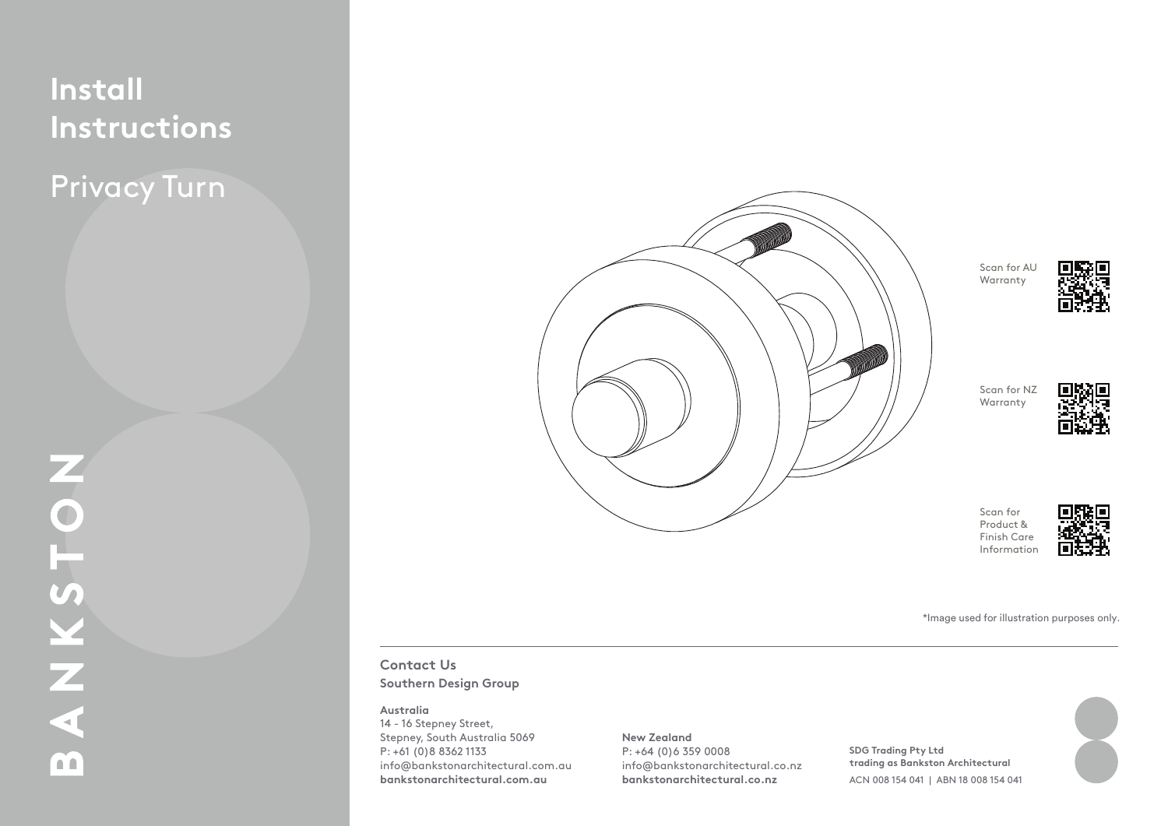# **Install Instructions**

Privacy Turn



Scan for AU Warranty



Scan for NZ Warranty



Scan for Product & Finish Care Information



Figure 2. Figure 1. \*Image used for illustration purposes only.

### **Contact Us Southern Design Group**

#### **2. Install Privacy Bolt & Striker Plate 4. Install Privacy Turn Australia**

**3. Prepare Cut-off screws**

As per supplier instructions.<br>
Stepney, South Australia 5069 14 - 16 Stepney Street, P: +61 (0)8 8362 1133 info@bankstonarchitectural.com.au **bankstonarchitectural.com.au**

#### **New Zealand**

P: +64 (0)6 359 0008 info@bankstonarchitectural.co.nz **bankstonarchitectural.co.nz**

 $4.1.1.$  Place spin die through the privacy bolt keeper. The privacy bolt keeper. The privacy bolt keeper. The privacy bolt keeper. The privacy bolt keeper. The privacy bolt keeper. The privacy bolt keeper. The privacy bo **Leo.nz trading as Bankston Architectural**  $S = 60$  and  $S = 12$  and  $S = 12$  and  $S = 12$  and  $S = 12$  and  $S = 12$  and  $S = 12$  and  $S = 12$  and  $S = 12$  and  $S = 12$  and  $S = 12$  and  $S = 12$  and  $S = 12$  and  $S = 12$  and  $S = 12$  and  $S = 12$  and  $S = 12$  and  $S = 12$  and  $S = 1$ **SDG Trading Pty Ltd**  ACN 008 154 041 | ABN 18 008 154 041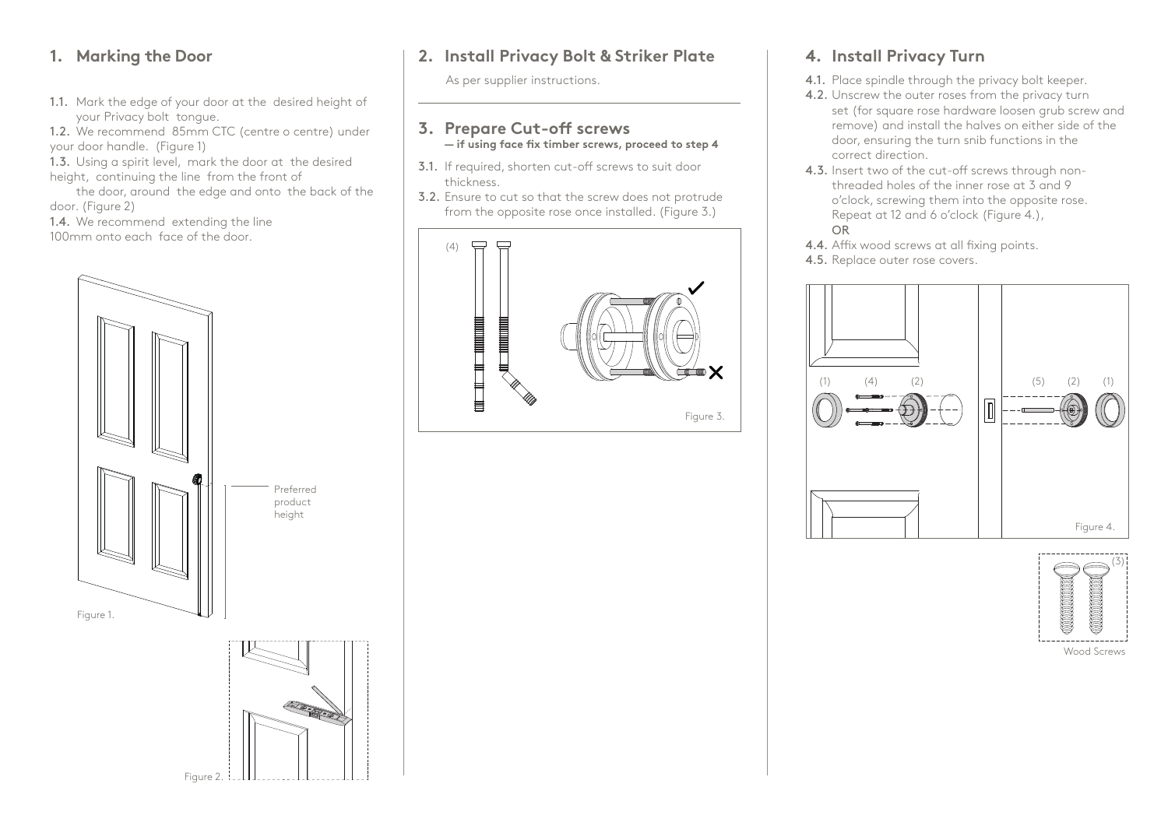## **1. Marking the Door**

1.1. Mark the edge of your door at the desired height of your Privacy bolt tongue.

1.2. We recommend 85mm CTC (centre o centre) under your door handle. (Figure 1)

1.3. Using a spirit level, mark the door at the desired height, continuing the line from the front of

the door, around the edge and onto the back of the door. (Figure 2)

1.4. We recommend extending the line

100mm onto each face of the door.

Figure 2.



## **2. Install Privacy Bolt & Striker Plate**

As per supplier instructions.

#### **3. Prepare Cut-off screws — if using face fix timber screws, proceed to step 4**

- 3.1. If required, shorten cut-off screws to suit door thickness.
- 3.2. Ensure to cut so that the screw does not protrude from the opposite rose once installed. (Figure 3.)



## **4. Install Privacy Turn**

- 4.1. Place spindle through the privacy bolt keeper.
- 4.2. Unscrew the outer roses from the privacy turn set (for square rose hardware loosen grub screw and remove) and install the halves on either side of the door, ensuring the turn snib functions in the correct direction.
- 4.3. Insert two of the cut-off screws through nonthreaded holes of the inner rose at 3 and 9 o'clock, screwing them into the opposite rose. Repeat at 12 and 6 o'clock (Figure 4.), OR
- 4.4. Affix wood screws at all fixing points.
- 4.5. Replace outer rose covers.





Wood Screws